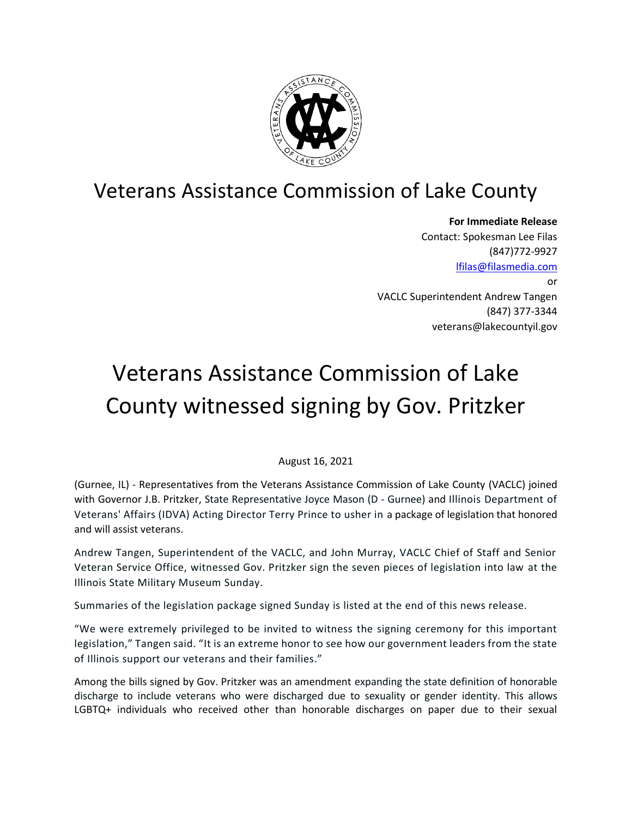

# Veterans Assistance Commission of Lake County

**For Immediate Release** Contact: Spokesman Lee Filas (847)772-9927 [lfilas@filasmedia.com](mailto:lfilas@filasmedia.com) or VACLC Superintendent Andrew Tangen (847) 377-3344 veterans@lakecountyil.gov

# Veterans Assistance Commission of Lake County witnessed signing by Gov. Pritzker

August 16, 2021

(Gurnee, IL) - Representatives from the Veterans Assistance Commission of Lake County (VACLC) joined with Governor J.B. Pritzker, State Representative Joyce Mason (D - Gurnee) and Illinois Department of Veterans' Affairs (IDVA) Acting Director Terry Prince to usher in a package of legislation that honored and will assist veterans.

Andrew Tangen, Superintendent of the VACLC, and John Murray, VACLC Chief of Staff and Senior Veteran Service Office, witnessed Gov. Pritzker sign the seven pieces of legislation into law at the Illinois State Military Museum Sunday.

Summaries of the legislation package signed Sunday is listed at the end of this news release.

"We were extremely privileged to be invited to witness the signing ceremony for this important legislation," Tangen said. "It is an extreme honor to see how our government leaders from the state of Illinois support our veterans and their families."

Among the bills signed by Gov. Pritzker was an amendment expanding the state definition of honorable discharge to include veterans who were discharged due to sexuality or gender identity. This allows LGBTQ+ individuals who received other than honorable discharges on paper due to their sexual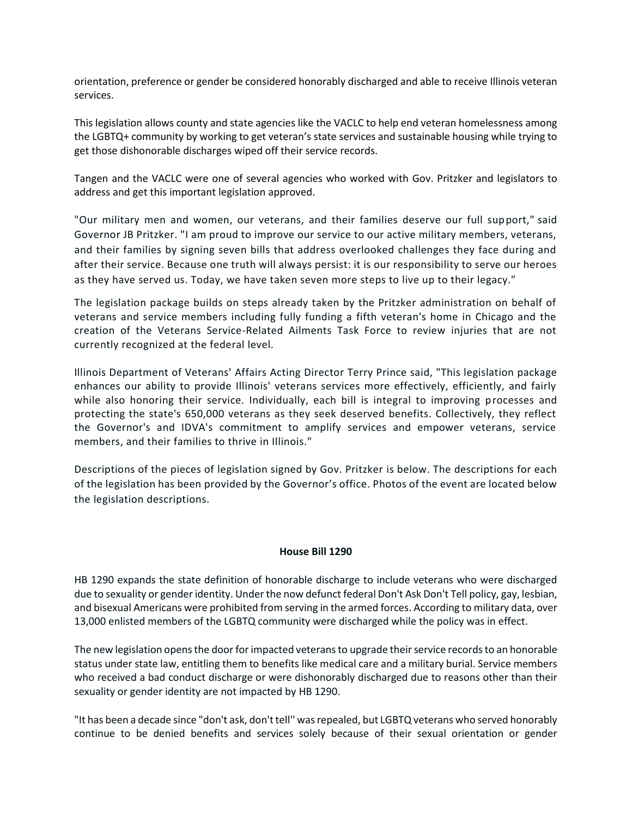orientation, preference or gender be considered honorably discharged and able to receive Illinois veteran services.

This legislation allows county and state agencies like the VACLC to help end veteran homelessness among the LGBTQ+ community by working to get veteran's state services and sustainable housing while trying to get those dishonorable discharges wiped off their service records.

Tangen and the VACLC were one of several agencies who worked with Gov. Pritzker and legislators to address and get this important legislation approved.

"Our military men and women, our veterans, and their families deserve our full support," said Governor JB Pritzker. "I am proud to improve our service to our active military members, veterans, and their families by signing seven bills that address overlooked challenges they face during and after their service. Because one truth will always persist: it is our responsibility to serve our heroes as they have served us. Today, we have taken seven more steps to live up to their legacy."

The legislation package builds on steps already taken by the Pritzker administration on behalf of veterans and service members including fully funding a fifth veteran's home in Chicago and the creation of the Veterans Service-Related Ailments Task Force to review injuries that are not currently recognized at the federal level.

Illinois Department of Veterans' Affairs Acting Director Terry Prince said, "This legislation package enhances our ability to provide Illinois' veterans services more effectively, efficiently, and fairly while also honoring their service. Individually, each bill is integral to improving processes and protecting the state's 650,000 veterans as they seek deserved benefits. Collectively, they reflect the Governor's and IDVA's commitment to amplify services and empower veterans, service members, and their families to thrive in Illinois."

Descriptions of the pieces of legislation signed by Gov. Pritzker is below. The descriptions for each of the legislation has been provided by the Governor's office. Photos of the event are located below the legislation descriptions.

#### **House Bill 1290**

HB 1290 expands the state definition of honorable discharge to include veterans who were discharged due to sexuality or gender identity. Under the now defunct federal Don't Ask Don't Tell policy, gay, lesbian, and bisexual Americans were prohibited from serving in the armed forces. According to military data, over 13,000 enlisted members of the LGBTQ community were discharged while the policy was in effect.

The new legislation opens the door for impacted veterans to upgrade their service records to an honorable status under state law, entitling them to benefits like medical care and a military burial. Service members who received a bad conduct discharge or were dishonorably discharged due to reasons other than their sexuality or gender identity are not impacted by HB 1290.

"It has been a decade since "don't ask, don't tell'' was repealed, but LGBTQ veterans who served honorably continue to be denied benefits and services solely because of their sexual orientation or gender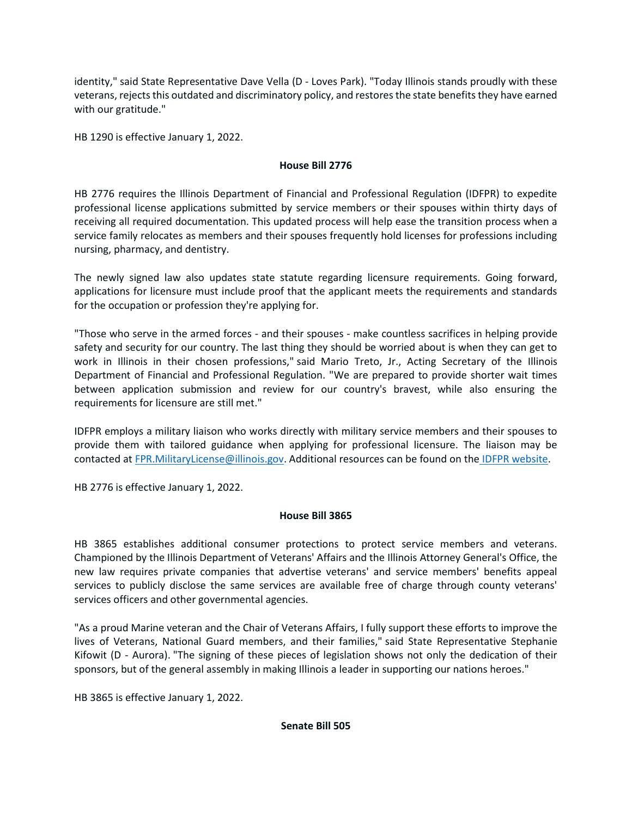identity," said State Representative Dave Vella (D - Loves Park). "Today Illinois stands proudly with these veterans, rejects this outdated and discriminatory policy, and restores the state benefits they have earned with our gratitude."

HB 1290 is effective January 1, 2022.

# **House Bill 2776**

HB 2776 requires the Illinois Department of Financial and Professional Regulation (IDFPR) to expedite professional license applications submitted by service members or their spouses within thirty days of receiving all required documentation. This updated process will help ease the transition process when a service family relocates as members and their spouses frequently hold licenses for professions including nursing, pharmacy, and dentistry.

The newly signed law also updates state statute regarding licensure requirements. Going forward, applications for licensure must include proof that the applicant meets the requirements and standards for the occupation or profession they're applying for.

"Those who serve in the armed forces - and their spouses - make countless sacrifices in helping provide safety and security for our country. The last thing they should be worried about is when they can get to work in Illinois in their chosen professions," said Mario Treto, Jr., Acting Secretary of the Illinois Department of Financial and Professional Regulation. "We are prepared to provide shorter wait times between application submission and review for our country's bravest, while also ensuring the requirements for licensure are still met."

IDFPR employs a military liaison who works directly with military service members and their spouses to provide them with tailored guidance when applying for professional licensure. The liaison may be contacted at [FPR.MilitaryLicense@illinois.gov.](mailto:FPR.MilitaryLicense@illinois.gov) Additional resources can be found on the [IDFPR website.](https://secure-web.cisco.com/1N88hy8xWvzexXkoq_wsZ_t_3_2VXgsi-H-YPDLH02eBUoEP9Xb7snswjuxrnDwoDff-wgQnlnCTaM5O8kKXEOGHh6Nqq2UibNKIbEluTP8KxRWFU4PZT8BVxmgDNbWqWZCkhphnj-PfcSQpNhYy4i9sLgEZGQMLk4R_kw9lGIkRxx37sgTk5YBt_VCsvfGKpxJLX_Kl_WoBQjlMEpjTYxZFK-gi114SRiUBfpaTjFwTawWdJGOmBx9oV0D_iU0Hs7pdpWeKDJPwU5DkAIhk0G-aQ2Q49_abCBuZu9qMpAXp0QxeTdvDUWmAZbV6bZqLy_A16QHE9agMt4vlr4XRNbTe_ZJhimuULqkip5uvIqlEgAJjLVtxUWNPL4jzl-VIetELlNKkRnBQiIGV79mj5j_AnZxA0kuSoM8-2z71DM40/https%3A%2F%2Fwww.idfpr.com%2FMilitary.asp)

HB 2776 is effective January 1, 2022.

# **House Bill 3865**

HB 3865 establishes additional consumer protections to protect service members and veterans. Championed by the Illinois Department of Veterans' Affairs and the Illinois Attorney General's Office, the new law requires private companies that advertise veterans' and service members' benefits appeal services to publicly disclose the same services are available free of charge through county veterans' services officers and other governmental agencies.

"As a proud Marine veteran and the Chair of Veterans Affairs, I fully support these efforts to improve the lives of Veterans, National Guard members, and their families," said State Representative Stephanie Kifowit (D - Aurora). "The signing of these pieces of legislation shows not only the dedication of their sponsors, but of the general assembly in making Illinois a leader in supporting our nations heroes."

HB 3865 is effective January 1, 2022.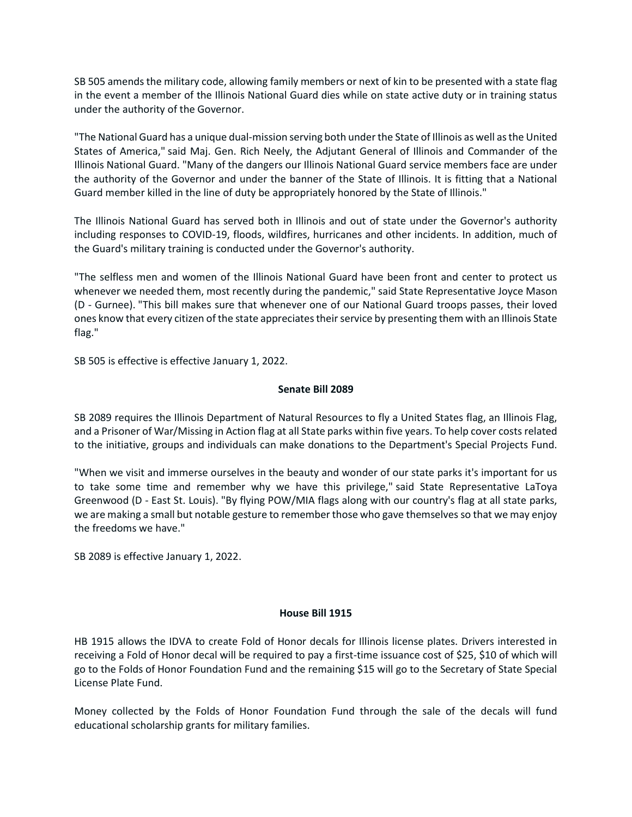SB 505 amends the military code, allowing family members or next of kin to be presented with a state flag in the event a member of the Illinois National Guard dies while on state active duty or in training status under the authority of the Governor.

"The National Guard has a unique dual-mission serving both under the State of Illinois as well as the United States of America," said Maj. Gen. Rich Neely, the Adjutant General of Illinois and Commander of the Illinois National Guard. "Many of the dangers our Illinois National Guard service members face are under the authority of the Governor and under the banner of the State of Illinois. It is fitting that a National Guard member killed in the line of duty be appropriately honored by the State of Illinois."

The Illinois National Guard has served both in Illinois and out of state under the Governor's authority including responses to COVID-19, floods, wildfires, hurricanes and other incidents. In addition, much of the Guard's military training is conducted under the Governor's authority.

"The selfless men and women of the Illinois National Guard have been front and center to protect us whenever we needed them, most recently during the pandemic," said State Representative Joyce Mason (D - Gurnee). "This bill makes sure that whenever one of our National Guard troops passes, their loved ones know that every citizen of the state appreciates their service by presenting them with an Illinois State flag."

SB 505 is effective is effective January 1, 2022.

## **Senate Bill 2089**

SB 2089 requires the Illinois Department of Natural Resources to fly a United States flag, an Illinois Flag, and a Prisoner of War/Missing in Action flag at all State parks within five years. To help cover costs related to the initiative, groups and individuals can make donations to the Department's Special Projects Fund.

"When we visit and immerse ourselves in the beauty and wonder of our state parks it's important for us to take some time and remember why we have this privilege," said State Representative LaToya Greenwood (D - East St. Louis). "By flying POW/MIA flags along with our country's flag at all state parks, we are making a small but notable gesture to remember those who gave themselves so that we may enjoy the freedoms we have."

SB 2089 is effective January 1, 2022.

### **House Bill 1915**

HB 1915 allows the IDVA to create Fold of Honor decals for Illinois license plates. Drivers interested in receiving a Fold of Honor decal will be required to pay a first-time issuance cost of \$25, \$10 of which will go to the Folds of Honor Foundation Fund and the remaining \$15 will go to the Secretary of State Special License Plate Fund.

Money collected by the Folds of Honor Foundation Fund through the sale of the decals will fund educational scholarship grants for military families.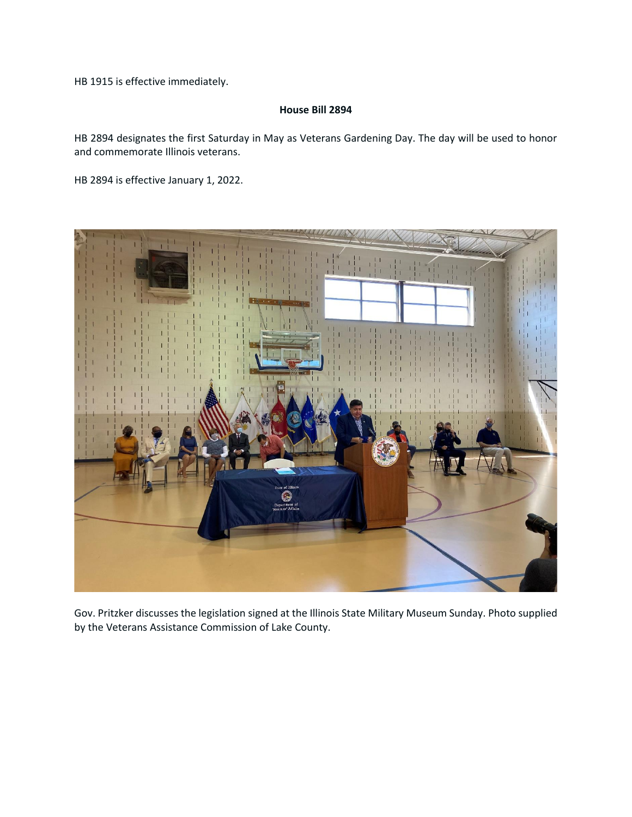HB 1915 is effective immediately.

### **House Bill 2894**

HB 2894 designates the first Saturday in May as Veterans Gardening Day. The day will be used to honor and commemorate Illinois veterans.

HB 2894 is effective January 1, 2022.



Gov. Pritzker discusses the legislation signed at the Illinois State Military Museum Sunday. Photo supplied by the Veterans Assistance Commission of Lake County.